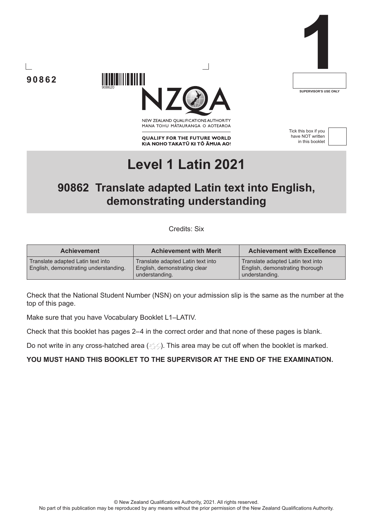**90862**



NEW ZEALAND OUALIFICATIONS AUTHORITY MANA TOHU MATAURANGA O AOTEAROA

**QUALIFY FOR THE FUTURE WORLD** KIA NOHO TAKATŪ KI TŌ ĀMUA AO! Tick this box if you have NOT written in this booklet

**1**

**SUPERVISOR'S USE ONLY**



# **Level 1 Latin 2021**

## **90862 Translate adapted Latin text into English, demonstrating understanding**

Credits: Six

| <b>Achievement</b>                                                         | <b>Achievement with Merit</b>                                                       | <b>Achievement with Excellence</b>                                                     |
|----------------------------------------------------------------------------|-------------------------------------------------------------------------------------|----------------------------------------------------------------------------------------|
| Translate adapted Latin text into<br>English, demonstrating understanding. | Translate adapted Latin text into<br>English, demonstrating clear<br>understanding. | Translate adapted Latin text into<br>English, demonstrating thorough<br>understanding. |

Check that the National Student Number (NSN) on your admission slip is the same as the number at the top of this page.

Make sure that you have Vocabulary Booklet L1–LATIV.

908620

Check that this booklet has pages 2–4 in the correct order and that none of these pages is blank.

Do not write in any cross-hatched area  $(\angle \Diamond)$ . This area may be cut off when the booklet is marked.

#### **YOU MUST HAND THIS BOOKLET TO THE SUPERVISOR AT THE END OF THE EXAMINATION.**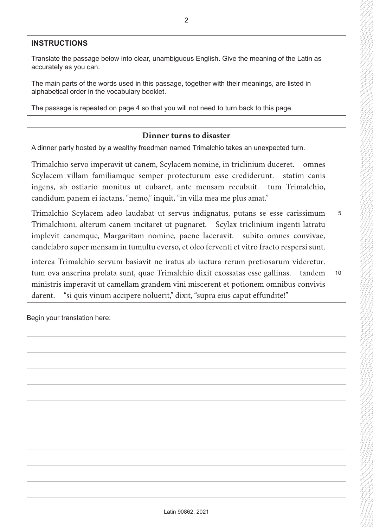#### **INSTRUCTIONS**

Translate the passage below into clear, unambiguous English. Give the meaning of the Latin as accurately as you can.

The main parts of the words used in this passage, together with their meanings, are listed in alphabetical order in the vocabulary booklet.

The passage is repeated on page 4 so that you will not need to turn back to this page.

#### **Dinner turns to disaster**

A dinner party hosted by a wealthy freedman named Trimalchio takes an unexpected turn.

Trimalchio servo imperavit ut canem, Scylacem nomine, in triclinium duceret. omnes Scylacem villam familiamque semper protecturum esse crediderunt. statim canis ingens, ab ostiario monitus ut cubaret, ante mensam recubuit. tum Trimalchio, candidum panem ei iactans, "nemo," inquit, "in villa mea me plus amat."

Trimalchio Scylacem adeo laudabat ut servus indignatus, putans se esse carissimum Trimalchioni, alterum canem incitaret ut pugnaret. Scylax triclinium ingenti latratu implevit canemque, Margaritam nomine, paene laceravit. subito omnes convivae, candelabro super mensam in tumultu everso, et oleo ferventi et vitro fracto respersi sunt. 5

interea Trimalchio servum basiavit ne iratus ab iactura rerum pretiosarum videretur. tum ova anserina prolata sunt, quae Trimalchio dixit exossatas esse gallinas. tandem ministris imperavit ut camellam grandem vini miscerent et potionem omnibus convivis darent. "si quis vinum accipere noluerit," dixit, "supra eius caput effundite!" 10

Begin your translation here: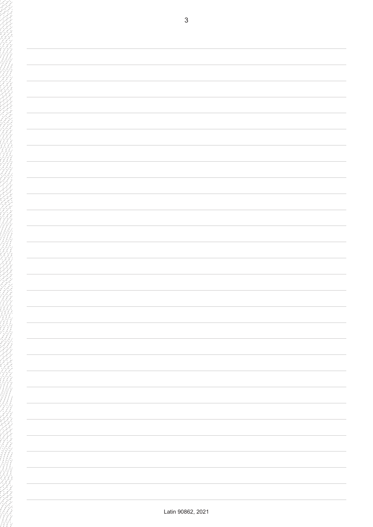| $\sqrt{3}$ |
|------------|
|            |
|            |
|            |
|            |
|            |
|            |
|            |
|            |
|            |
|            |
|            |
|            |
|            |
|            |
|            |
|            |
|            |
|            |
|            |
|            |
|            |
|            |
|            |
|            |
|            |
|            |
|            |
|            |